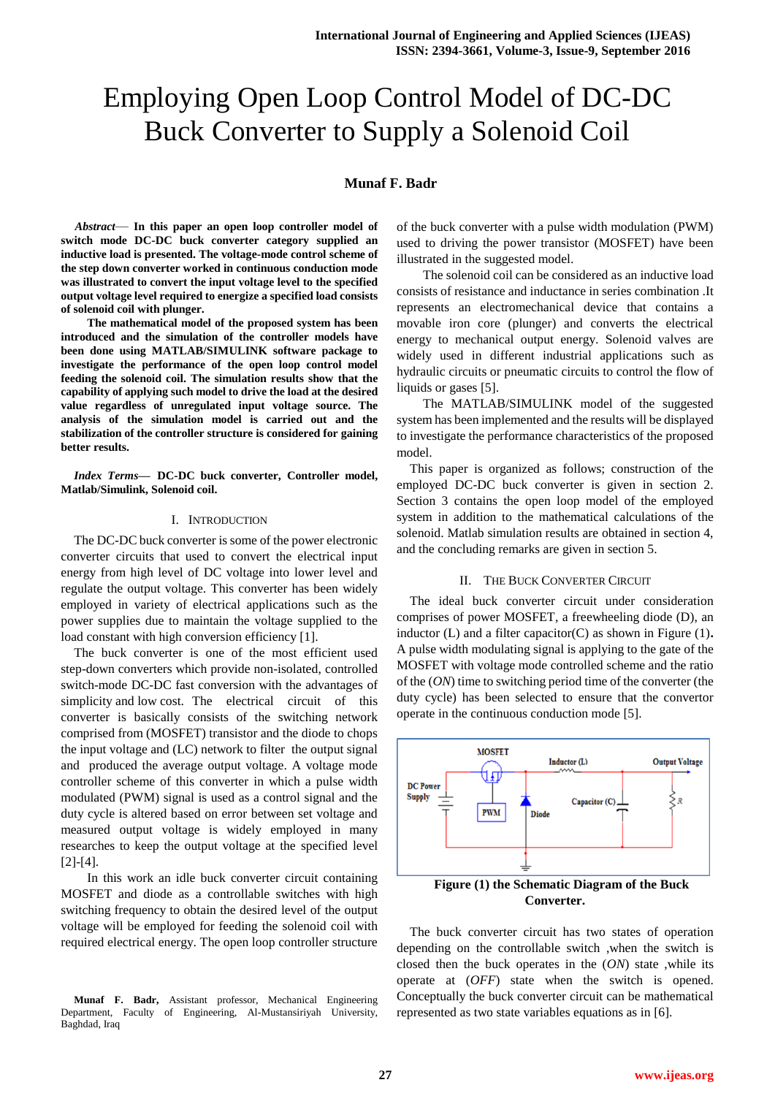# Employing Open Loop Control Model of DC-DC Buck Converter to Supply a Solenoid Coil

# **Munaf F. Badr**

*Abstract*— **In this paper an open loop controller model of switch mode DC-DC buck converter category supplied an inductive load is presented. The voltage-mode control scheme of the step down converter worked in continuous conduction mode was illustrated to convert the input voltage level to the specified output voltage level required to energize a specified load consists of solenoid coil with plunger.**

**The mathematical model of the proposed system has been introduced and the simulation of the controller models have been done using MATLAB/SIMULINK software package to investigate the performance of the open loop control model feeding the solenoid coil. The simulation results show that the capability of applying such model to drive the load at the desired value regardless of unregulated input voltage source. The analysis of the simulation model is carried out and the stabilization of the controller structure is considered for gaining better results.**

*Index Terms***— DC-DC buck converter, Controller model, Matlab/Simulink, Solenoid coil.**

# I. INTRODUCTION

The DC-DC buck converter is some of the power electronic converter circuits that used to convert the electrical input energy from high level of DC voltage into lower level and regulate the output voltage. This converter has been widely employed in variety of electrical applications such as the power supplies due to maintain the voltage supplied to the load constant with high conversion efficiency [1].

The buck converter is one of the most efficient used step-down converters which provide non-isolated, controlled switch-mode DC-DC fast conversion with the advantages of simplicity and low cost. The electrical circuit of this converter is basically consists of the switching network comprised from (MOSFET) transistor and the diode to chops the input voltage and (LC) network to filter the output signal and produced the average output voltage. A voltage mode controller scheme of this converter in which a pulse width modulated (PWM) signal is used as a control signal and the duty cycle is altered based on error between set voltage and measured output voltage is widely employed in many researches to keep the output voltage at the specified level [2]-[4].

In this work an idle buck converter circuit containing MOSFET and diode as a controllable switches with high switching frequency to obtain the desired level of the output voltage will be employed for feeding the solenoid coil with required electrical energy. The open loop controller structure

**Munaf F. Badr,** Assistant professor, Mechanical Engineering Department, Faculty of Engineering, Al-Mustansiriyah University, Baghdad, Iraq

of the buck converter with a pulse width modulation (PWM) used to driving the power transistor (MOSFET) have been illustrated in the suggested model.

The solenoid coil can be considered as an inductive load consists of resistance and inductance in series combination .It represents an electromechanical device that contains a movable iron core (plunger) and converts the electrical energy to mechanical output energy. Solenoid valves are widely used in different industrial applications such as hydraulic circuits or pneumatic circuits to control the flow of liquids or gases [5].

The MATLAB/SIMULINK model of the suggested system has been implemented and the results will be displayed to investigate the performance characteristics of the proposed model.

This paper is organized as follows; construction of the employed DC-DC buck converter is given in section 2. Section 3 contains the open loop model of the employed system in addition to the mathematical calculations of the solenoid. Matlab simulation results are obtained in section 4, and the concluding remarks are given in section 5.

# II. THE BUCK CONVERTER CIRCUIT

The ideal buck converter circuit under consideration comprises of power MOSFET, a freewheeling diode (D), an inductor (L) and a filter capacitor(C) as shown in Figure (1)**.**  A pulse width modulating signal is applying to the gate of the MOSFET with voltage mode controlled scheme and the ratio of the (*ON*) time to switching period time of the converter (the duty cycle) has been selected to ensure that the convertor operate in the continuous conduction mode [5].



The buck converter circuit has two states of operation depending on the controllable switch ,when the switch is closed then the buck operates in the (*ON*) state ,while its operate at (*OFF*) state when the switch is opened. Conceptually the buck converter circuit can be mathematical represented as two state variables equations as in [6].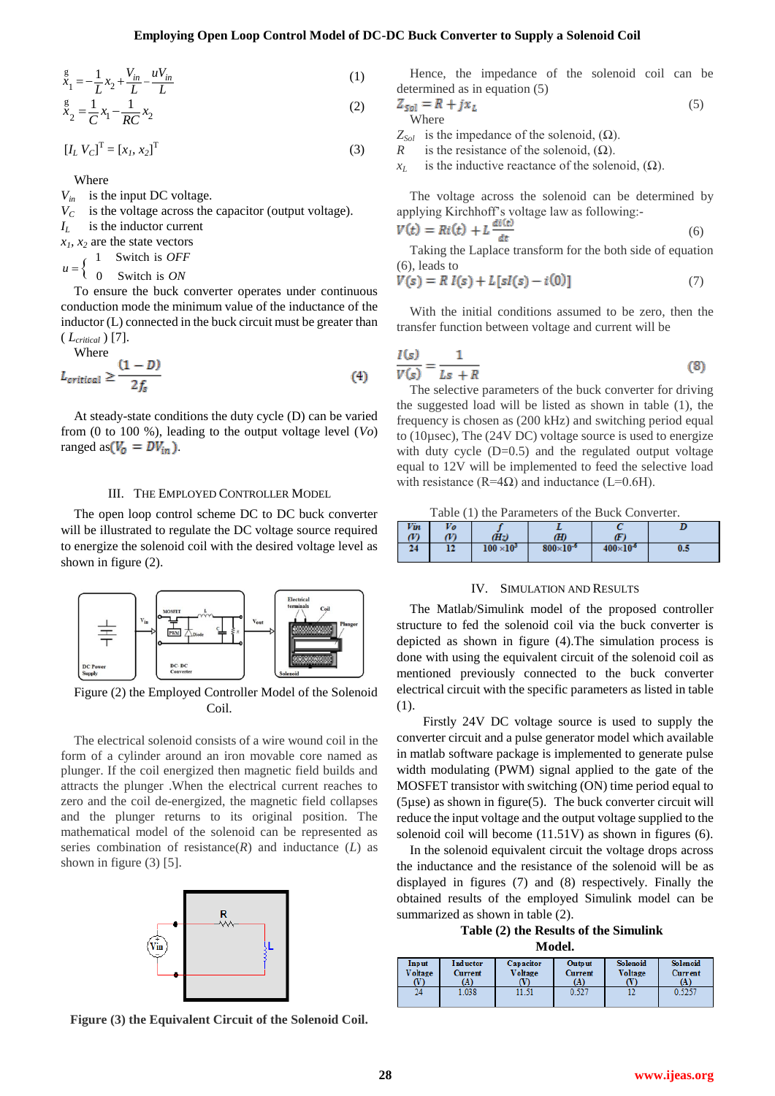$$
x_1^g = -\frac{1}{L}x_2 + \frac{V_{in}}{L} - \frac{uV_{in}}{L}
$$
 (1)

$$
\stackrel{g}{x}_2 = \frac{1}{C} x_1 - \frac{1}{RC} x_2 \tag{2}
$$

$$
[I_L V_C]^{\mathrm{T}} = [x_I, x_2]^{\mathrm{T}} \tag{3}
$$

Where

 $V_{in}$  is the input DC voltage.

 $V_C$  is the voltage across the capacitor (output voltage).

*I<sup>L</sup>* is the inductor current

 $x_1, x_2$  are the state vectors

 $\{$ 1 Switch is *OFF*  $u =$ 

 $u = \begin{cases} 0 & \text{Switch is } ON \end{cases}$ 

To ensure the buck converter operates under continuous conduction mode the minimum value of the inductance of the inductor (L) connected in the buck circuit must be greater than ( *Lcritical* ) [7].

Where  

$$
L_{critical} \geq \frac{(1-D)}{2f_s}
$$
 (4)

At steady-state conditions the duty cycle (D) can be varied from (0 to 100 %), leading to the output voltage level (*Vo*) ranged as  $(V_0 = DV_{in})$ .

# III. THE EMPLOYED CONTROLLER MODEL

The open loop control scheme DC to DC buck converter will be illustrated to regulate the DC voltage source required to energize the solenoid coil with the desired voltage level as shown in figure (2).



Figure (2) the Employed Controller Model of the Solenoid Coil.

**28 \frac{1}{2} = \frac{1}{12} = \frac{1}{12} = \frac{1}{12} = \frac{1}{12} = \frac{1}{12} = \frac{1}{12} = \frac{1}{12} = \frac{1}{12} = \frac{1}{12} = \frac{1}{12} = \frac{1}{12} = \frac{1}{12} = \frac{1}{12} = \frac{1}{12} = \frac{1}{12} = \frac{1}{12} = \frac{1}{12} = \frac{1}{12} = \frac{1}{12} = \frac{1}{12} = \frac{1}{12} = \frac{1}{12} = \frac{1}{12} = \** The electrical solenoid consists of a wire wound coil in the form of a cylinder around an iron movable core named as plunger. If the coil energized then magnetic field builds and attracts the plunger .When the electrical current reaches to zero and the coil de-energized, the magnetic field collapses and the plunger returns to its original position. The mathematical model of the solenoid can be represented as series combination of resistance $(R)$  and inductance  $(L)$  as shown in figure (3) [5].



**Figure (3) the Equivalent Circuit of the Solenoid Coil.**

Hence, the impedance of the solenoid coil can be determined as in equation (5)

$$
Z_{sol} = R + jx_L
$$
 (5)  
Where

 $Z_{Sol}$  is the impedance of the solenoid,  $(\Omega)$ .

*R* is the resistance of the solenoid,  $(\Omega)$ .

 $x<sub>L</sub>$  is the inductive reactance of the solenoid, ( $\Omega$ ).

The voltage across the solenoid can be determined by applying Kirchhoff's voltage law as following:-

$$
V(t) = Ri(t) + L \frac{dV(t)}{dt}
$$
 (6)

Taking the Laplace transform for the both side of equation (6), leads to

$$
V(s) = R I(s) + L[sI(s) - i(0)]
$$
 (7)

With the initial conditions assumed to be zero, then the transfer function between voltage and current will be

$$
\frac{I(s)}{V(s)} = \frac{1}{Ls + R} \tag{8}
$$

The selective parameters of the buck converter for driving the suggested load will be listed as shown in table (1), the frequency is chosen as (200 kHz) and switching period equal to (10µsec), The (24V DC) voltage source is used to energize with duty cycle  $(D=0.5)$  and the regulated output voltage equal to 12V will be implemented to feed the selective load with resistance (R=4Ω) and inductance (L=0.6H).

Table (1) the Parameters of the Buck Converter.

# IV. SIMULATION AND RESULTS

The Matlab/Simulink model of the proposed controller structure to fed the solenoid coil via the buck converter is depicted as shown in figure (4).The simulation process is done with using the equivalent circuit of the solenoid coil as mentioned previously connected to the buck converter electrical circuit with the specific parameters as listed in table (1).

Firstly 24V DC voltage source is used to supply the converter circuit and a pulse generator model which available in matlab software package is implemented to generate pulse width modulating (PWM) signal applied to the gate of the MOSFET transistor with switching (ON) time period equal to (5µse) as shown in figure(5). The buck converter circuit will reduce the input voltage and the output voltage supplied to the solenoid coil will become (11.51V) as shown in figures (6).

In the solenoid equivalent circuit the voltage drops across the inductance and the resistance of the solenoid will be as displayed in figures (7) and (8) respectively. Finally the obtained results of the employed Simulink model can be summarized as shown in table (2).

**Table (2) the Results of the Simulink Model.**

| www. |                               |                                   |                      |                                        |                            |                            |
|------|-------------------------------|-----------------------------------|----------------------|----------------------------------------|----------------------------|----------------------------|
|      | Input<br><b>Voltage</b><br>W) | <b>Inductor</b><br>Current<br>(A) | Capacitor<br>Voltage | <b>Output</b><br><b>Current</b><br>(A) | Solenoid<br><b>Voltage</b> | Solenoid<br>Current<br>(A) |
|      | 24                            | 1.038                             | 11.51                | 0.527                                  | 12                         | 0.5257                     |